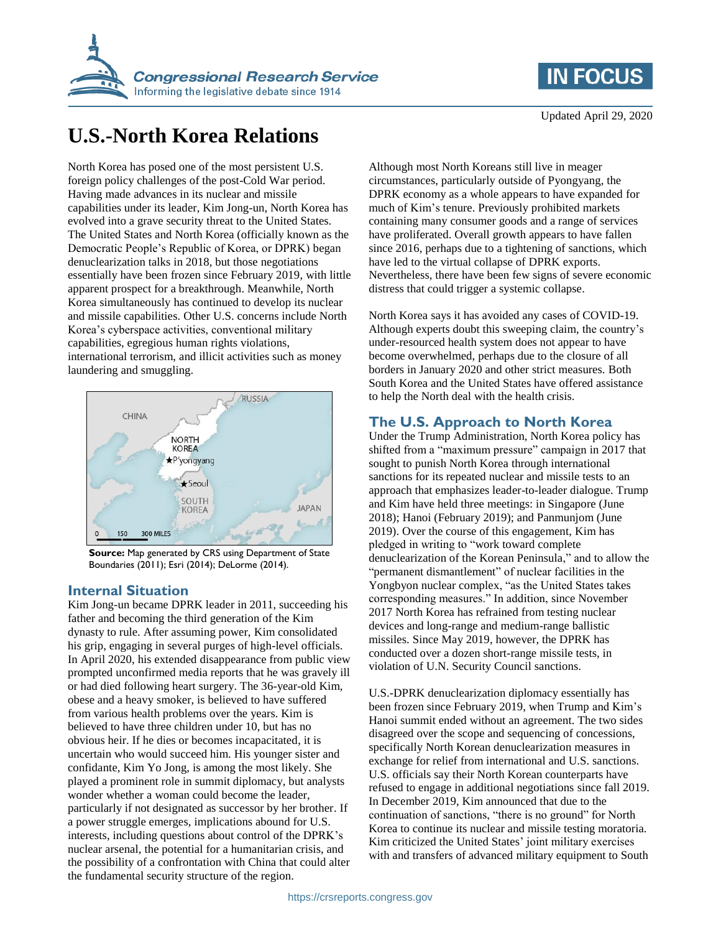

# **IN FOCUS**

# **U.S.-North Korea Relations**

North Korea has posed one of the most persistent U.S. foreign policy challenges of the post-Cold War period. Having made advances in its nuclear and missile capabilities under its leader, Kim Jong-un, North Korea has evolved into a grave security threat to the United States. The United States and North Korea (officially known as the Democratic People's Republic of Korea, or DPRK) began denuclearization talks in 2018, but those negotiations essentially have been frozen since February 2019, with little apparent prospect for a breakthrough. Meanwhile, North Korea simultaneously has continued to develop its nuclear and missile capabilities. Other U.S. concerns include North Korea's cyberspace activities, conventional military capabilities, egregious human rights violations, international terrorism, and illicit activities such as money laundering and smuggling.



**Source:** Map generated by CRS using Department of State Boundaries (2011); Esri (2014); DeLorme (2014).

#### **Internal Situation**

Kim Jong-un became DPRK leader in 2011, succeeding his father and becoming the third generation of the Kim dynasty to rule. After assuming power, Kim consolidated his grip, engaging in several purges of high-level officials. In April 2020, his extended disappearance from public view prompted unconfirmed media reports that he was gravely ill or had died following heart surgery. The 36-year-old Kim, obese and a heavy smoker, is believed to have suffered from various health problems over the years. Kim is believed to have three children under 10, but has no obvious heir. If he dies or becomes incapacitated, it is uncertain who would succeed him. His younger sister and confidante, Kim Yo Jong, is among the most likely. She played a prominent role in summit diplomacy, but analysts wonder whether a woman could become the leader, particularly if not designated as successor by her brother. If a power struggle emerges, implications abound for U.S. interests, including questions about control of the DPRK's nuclear arsenal, the potential for a humanitarian crisis, and the possibility of a confrontation with China that could alter the fundamental security structure of the region.

Although most North Koreans still live in meager circumstances, particularly outside of Pyongyang, the DPRK economy as a whole appears to have expanded for much of Kim's tenure. Previously prohibited markets containing many consumer goods and a range of services have proliferated. Overall growth appears to have fallen since 2016, perhaps due to a tightening of sanctions, which have led to the virtual collapse of DPRK exports. Nevertheless, there have been few signs of severe economic distress that could trigger a systemic collapse.

North Korea says it has avoided any cases of COVID-19. Although experts doubt this sweeping claim, the country's under-resourced health system does not appear to have become overwhelmed, perhaps due to the closure of all borders in January 2020 and other strict measures. Both South Korea and the United States have offered assistance to help the North deal with the health crisis.

#### **The U.S. Approach to North Korea**

Under the Trump Administration, North Korea policy has shifted from a "maximum pressure" campaign in 2017 that sought to punish North Korea through international sanctions for its repeated nuclear and missile tests to an approach that emphasizes leader-to-leader dialogue. Trump and Kim have held three meetings: in Singapore (June 2018); Hanoi (February 2019); and Panmunjom (June 2019). Over the course of this engagement, Kim has pledged in writing to "work toward complete denuclearization of the Korean Peninsula," and to allow the "permanent dismantlement" of nuclear facilities in the Yongbyon nuclear complex, "as the United States takes corresponding measures." In addition, since November 2017 North Korea has refrained from testing nuclear devices and long-range and medium-range ballistic missiles. Since May 2019, however, the DPRK has conducted over a dozen short-range missile tests, in violation of U.N. Security Council sanctions.

U.S.-DPRK denuclearization diplomacy essentially has been frozen since February 2019, when Trump and Kim's Hanoi summit ended without an agreement. The two sides disagreed over the scope and sequencing of concessions, specifically North Korean denuclearization measures in exchange for relief from international and U.S. sanctions. U.S. officials say their North Korean counterparts have refused to engage in additional negotiations since fall 2019. In December 2019, Kim announced that due to the continuation of sanctions, "there is no ground" for North Korea to continue its nuclear and missile testing moratoria. Kim criticized the United States' joint military exercises with and transfers of advanced military equipment to South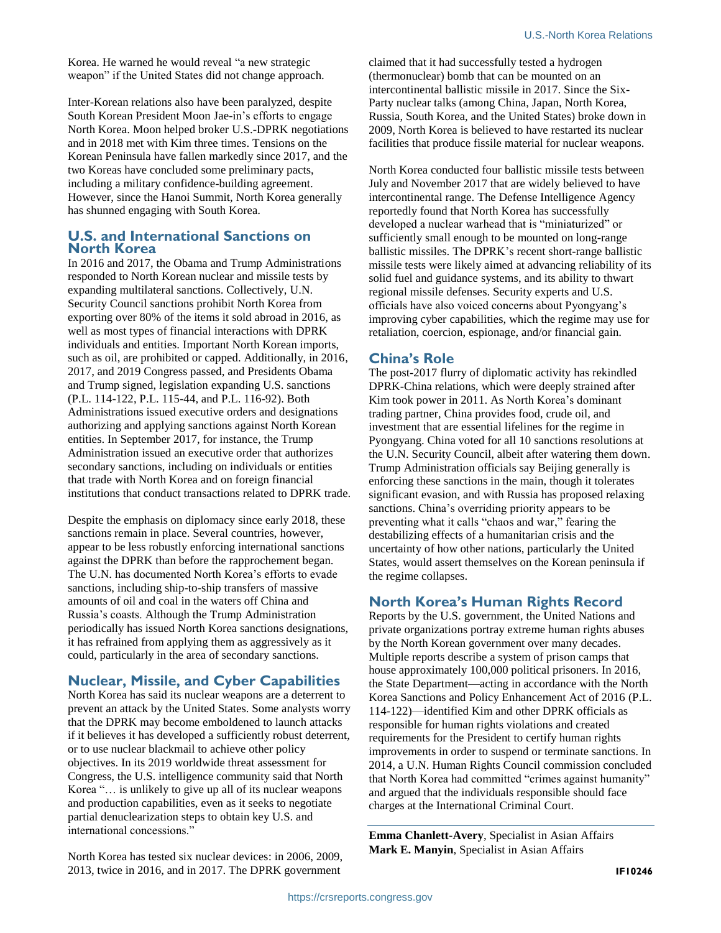Korea. He warned he would reveal "a new strategic weapon" if the United States did not change approach.

Inter-Korean relations also have been paralyzed, despite South Korean President Moon Jae-in's efforts to engage North Korea. Moon helped broker U.S.-DPRK negotiations and in 2018 met with Kim three times. Tensions on the Korean Peninsula have fallen markedly since 2017, and the two Koreas have concluded some preliminary pacts, including a military confidence-building agreement. However, since the Hanoi Summit, North Korea generally has shunned engaging with South Korea.

#### **U.S. and International Sanctions on North Korea**

In 2016 and 2017, the Obama and Trump Administrations responded to North Korean nuclear and missile tests by expanding multilateral sanctions. Collectively, U.N. Security Council sanctions prohibit North Korea from exporting over 80% of the items it sold abroad in 2016, as well as most types of financial interactions with DPRK individuals and entities. Important North Korean imports, such as oil, are prohibited or capped. Additionally, in 2016, 2017, and 2019 Congress passed, and Presidents Obama and Trump signed, legislation expanding U.S. sanctions (P.L. 114-122, P.L. 115-44, and P.L. 116-92). Both Administrations issued executive orders and designations authorizing and applying sanctions against North Korean entities. In September 2017, for instance, the Trump Administration issued an executive order that authorizes secondary sanctions, including on individuals or entities that trade with North Korea and on foreign financial institutions that conduct transactions related to DPRK trade.

Despite the emphasis on diplomacy since early 2018, these sanctions remain in place. Several countries, however, appear to be less robustly enforcing international sanctions against the DPRK than before the rapprochement began. The U.N. has documented North Korea's efforts to evade sanctions, including ship-to-ship transfers of massive amounts of oil and coal in the waters off China and Russia's coasts. Although the Trump Administration periodically has issued North Korea sanctions designations, it has refrained from applying them as aggressively as it could, particularly in the area of secondary sanctions.

## **Nuclear, Missile, and Cyber Capabilities**

North Korea has said its nuclear weapons are a deterrent to prevent an attack by the United States. Some analysts worry that the DPRK may become emboldened to launch attacks if it believes it has developed a sufficiently robust deterrent, or to use nuclear blackmail to achieve other policy objectives. In its 2019 worldwide threat assessment for Congress, the U.S. intelligence community said that North Korea "… is unlikely to give up all of its nuclear weapons and production capabilities, even as it seeks to negotiate partial denuclearization steps to obtain key U.S. and international concessions."

North Korea has tested six nuclear devices: in 2006, 2009, 2013, twice in 2016, and in 2017. The DPRK government

claimed that it had successfully tested a hydrogen (thermonuclear) bomb that can be mounted on an intercontinental ballistic missile in 2017. Since the Six-Party nuclear talks (among China, Japan, North Korea, Russia, South Korea, and the United States) broke down in 2009, North Korea is believed to have restarted its nuclear facilities that produce fissile material for nuclear weapons.

North Korea conducted four ballistic missile tests between July and November 2017 that are widely believed to have intercontinental range. The Defense Intelligence Agency reportedly found that North Korea has successfully developed a nuclear warhead that is "miniaturized" or sufficiently small enough to be mounted on long-range ballistic missiles. The DPRK's recent short-range ballistic missile tests were likely aimed at advancing reliability of its solid fuel and guidance systems, and its ability to thwart regional missile defenses. Security experts and U.S. officials have also voiced concerns about Pyongyang's improving cyber capabilities, which the regime may use for retaliation, coercion, espionage, and/or financial gain.

### **China's Role**

The post-2017 flurry of diplomatic activity has rekindled DPRK-China relations, which were deeply strained after Kim took power in 2011. As North Korea's dominant trading partner, China provides food, crude oil, and investment that are essential lifelines for the regime in Pyongyang. China voted for all 10 sanctions resolutions at the U.N. Security Council, albeit after watering them down. Trump Administration officials say Beijing generally is enforcing these sanctions in the main, though it tolerates significant evasion, and with Russia has proposed relaxing sanctions. China's overriding priority appears to be preventing what it calls "chaos and war," fearing the destabilizing effects of a humanitarian crisis and the uncertainty of how other nations, particularly the United States, would assert themselves on the Korean peninsula if the regime collapses.

### **North Korea's Human Rights Record**

Reports by the U.S. government, the United Nations and private organizations portray extreme human rights abuses by the North Korean government over many decades. Multiple reports describe a system of prison camps that house approximately 100,000 political prisoners. In 2016, the State Department—acting in accordance with the North Korea Sanctions and Policy Enhancement Act of 2016 (P.L. 114-122)—identified Kim and other DPRK officials as responsible for human rights violations and created requirements for the President to certify human rights improvements in order to suspend or terminate sanctions. In 2014, a U.N. Human Rights Council commission concluded that North Korea had committed "crimes against humanity" and argued that the individuals responsible should face charges at the International Criminal Court.

**Emma Chanlett-Avery**, Specialist in Asian Affairs **Mark E. Manyin**, Specialist in Asian Affairs